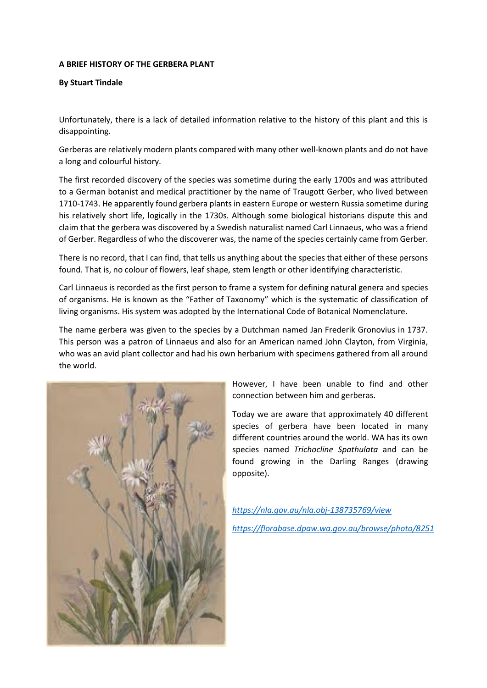## **A BRIEF HISTORY OF THE GERBERA PLANT**

## **By Stuart Tindale**

Unfortunately, there is a lack of detailed information relative to the history of this plant and this is disappointing.

Gerberas are relatively modern plants compared with many other well-known plants and do not have a long and colourful history.

The first recorded discovery of the species was sometime during the early 1700s and was attributed to a German botanist and medical practitioner by the name of Traugott Gerber, who lived between 1710-1743. He apparently found gerbera plants in eastern Europe or western Russia sometime during his relatively short life, logically in the 1730s. Although some biological historians dispute this and claim that the gerbera was discovered by a Swedish naturalist named Carl Linnaeus, who was a friend of Gerber. Regardless of who the discoverer was, the name of the species certainly came from Gerber.

There is no record, that I can find, that tells us anything about the species that either of these persons found. That is, no colour of flowers, leaf shape, stem length or other identifying characteristic.

Carl Linnaeus is recorded as the first person to frame a system for defining natural genera and species of organisms. He is known as the "Father of Taxonomy" which is the systematic of classification of living organisms. His system was adopted by the International Code of Botanical Nomenclature.

The name gerbera was given to the species by a Dutchman named Jan Frederik Gronovius in 1737. This person was a patron of Linnaeus and also for an American named John Clayton, from Virginia, who was an avid plant collector and had his own herbarium with specimens gathered from all around the world.



However, I have been unable to find and other connection between him and gerberas.

Today we are aware that approximately 40 different species of gerbera have been located in many different countries around the world. WA has its own species named *Trichocline Spathulata* and can be found growing in the Darling Ranges (drawing opposite).

## *<https://nla.gov.au/nla.obj-138735769/view>*

*<https://florabase.dpaw.wa.gov.au/browse/photo/8251>*